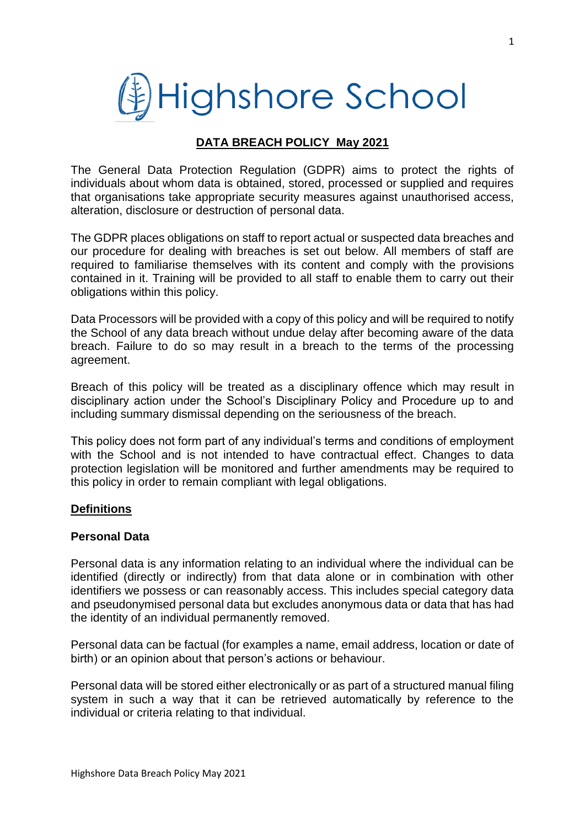

## **DATA BREACH POLICY May 2021**

The General Data Protection Regulation (GDPR) aims to protect the rights of individuals about whom data is obtained, stored, processed or supplied and requires that organisations take appropriate security measures against unauthorised access, alteration, disclosure or destruction of personal data.

The GDPR places obligations on staff to report actual or suspected data breaches and our procedure for dealing with breaches is set out below. All members of staff are required to familiarise themselves with its content and comply with the provisions contained in it. Training will be provided to all staff to enable them to carry out their obligations within this policy.

Data Processors will be provided with a copy of this policy and will be required to notify the School of any data breach without undue delay after becoming aware of the data breach. Failure to do so may result in a breach to the terms of the processing agreement.

Breach of this policy will be treated as a disciplinary offence which may result in disciplinary action under the School's Disciplinary Policy and Procedure up to and including summary dismissal depending on the seriousness of the breach.

This policy does not form part of any individual's terms and conditions of employment with the School and is not intended to have contractual effect. Changes to data protection legislation will be monitored and further amendments may be required to this policy in order to remain compliant with legal obligations.

#### **Definitions**

#### **Personal Data**

Personal data is any information relating to an individual where the individual can be identified (directly or indirectly) from that data alone or in combination with other identifiers we possess or can reasonably access. This includes special category data and pseudonymised personal data but excludes anonymous data or data that has had the identity of an individual permanently removed.

Personal data can be factual (for examples a name, email address, location or date of birth) or an opinion about that person's actions or behaviour.

Personal data will be stored either electronically or as part of a structured manual filing system in such a way that it can be retrieved automatically by reference to the individual or criteria relating to that individual.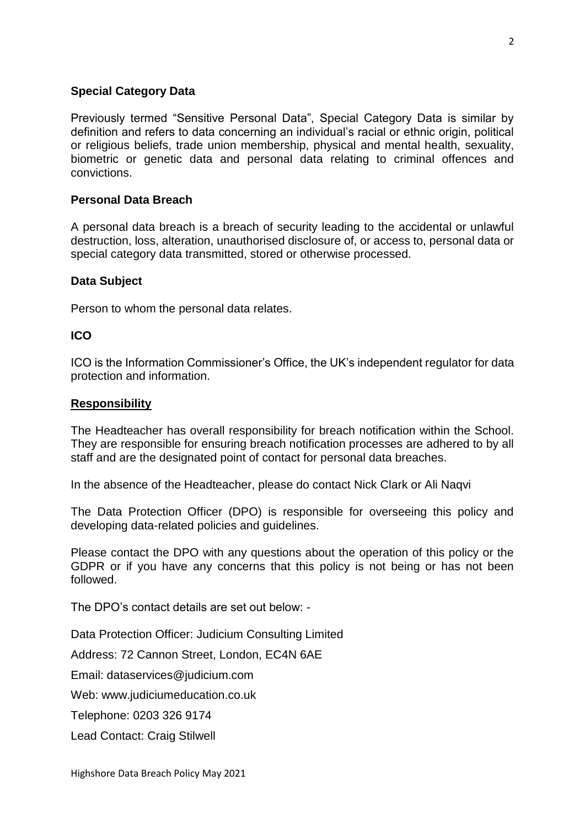### **Special Category Data**

Previously termed "Sensitive Personal Data", Special Category Data is similar by definition and refers to data concerning an individual's racial or ethnic origin, political or religious beliefs, trade union membership, physical and mental health, sexuality, biometric or genetic data and personal data relating to criminal offences and convictions.

## **Personal Data Breach**

A personal data breach is a breach of security leading to the accidental or unlawful destruction, loss, alteration, unauthorised disclosure of, or access to, personal data or special category data transmitted, stored or otherwise processed.

#### **Data Subject**

Person to whom the personal data relates.

### **ICO**

ICO is the Information Commissioner's Office, the UK's independent regulator for data protection and information.

#### **Responsibility**

The Headteacher has overall responsibility for breach notification within the School. They are responsible for ensuring breach notification processes are adhered to by all staff and are the designated point of contact for personal data breaches.

In the absence of the Headteacher, please do contact Nick Clark or Ali Naqvi

The Data Protection Officer (DPO) is responsible for overseeing this policy and developing data-related policies and guidelines.

Please contact the DPO with any questions about the operation of this policy or the GDPR or if you have any concerns that this policy is not being or has not been followed.

The DPO's contact details are set out below: -

Data Protection Officer: Judicium Consulting Limited

Address: 72 Cannon Street, London, EC4N 6AE

Email: [dataservices@judicium.com](mailto:dataservices@judicium.com)

Web: www.judiciumeducation.co.uk

Telephone: 0203 326 9174

Lead Contact: Craig Stilwell

 $\mathcal{L}$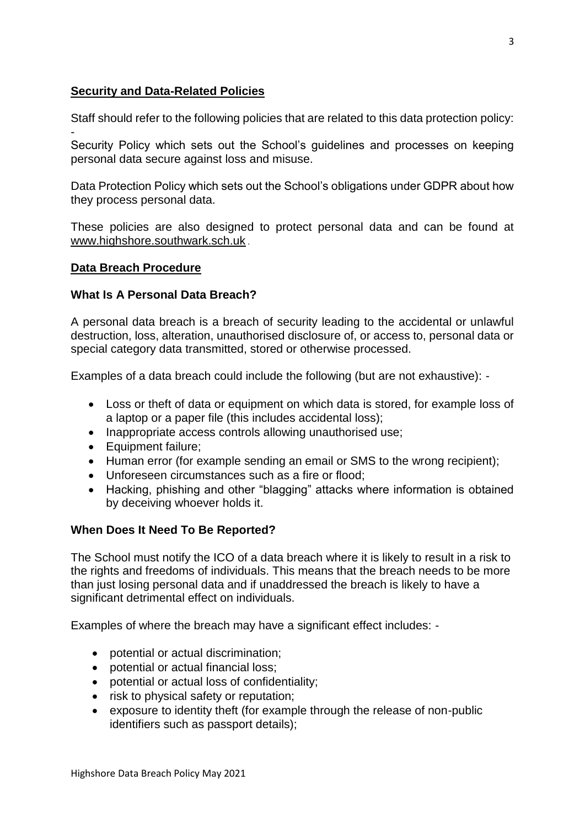## **Security and Data-Related Policies**

Staff should refer to the following policies that are related to this data protection policy: -

Security Policy which sets out the School's guidelines and processes on keeping personal data secure against loss and misuse.

Data Protection Policy which sets out the School's obligations under GDPR about how they process personal data.

These policies are also designed to protect personal data and can be found at [www.highshore.southwark.sch.uk](file:///C:/Users/emarks/AppData/Local/Microsoft/Windows/INetCache/Content.Outlook/6RG3HW5Z/www.highshore.southwark.sch.uk) .

#### **Data Breach Procedure**

#### **What Is A Personal Data Breach?**

A personal data breach is a breach of security leading to the accidental or unlawful destruction, loss, alteration, unauthorised disclosure of, or access to, personal data or special category data transmitted, stored or otherwise processed.

Examples of a data breach could include the following (but are not exhaustive): -

- Loss or theft of data or equipment on which data is stored, for example loss of a laptop or a paper file (this includes accidental loss);
- Inappropriate access controls allowing unauthorised use;
- Equipment failure;
- Human error (for example sending an email or SMS to the wrong recipient);
- Unforeseen circumstances such as a fire or flood;
- Hacking, phishing and other "blagging" attacks where information is obtained by deceiving whoever holds it.

#### **When Does It Need To Be Reported?**

The School must notify the ICO of a data breach where it is likely to result in a risk to the rights and freedoms of individuals. This means that the breach needs to be more than just losing personal data and if unaddressed the breach is likely to have a significant detrimental effect on individuals.

Examples of where the breach may have a significant effect includes: -

- potential or actual discrimination;
- potential or actual financial loss;
- potential or actual loss of confidentiality;
- risk to physical safety or reputation;
- exposure to identity theft (for example through the release of non-public identifiers such as passport details);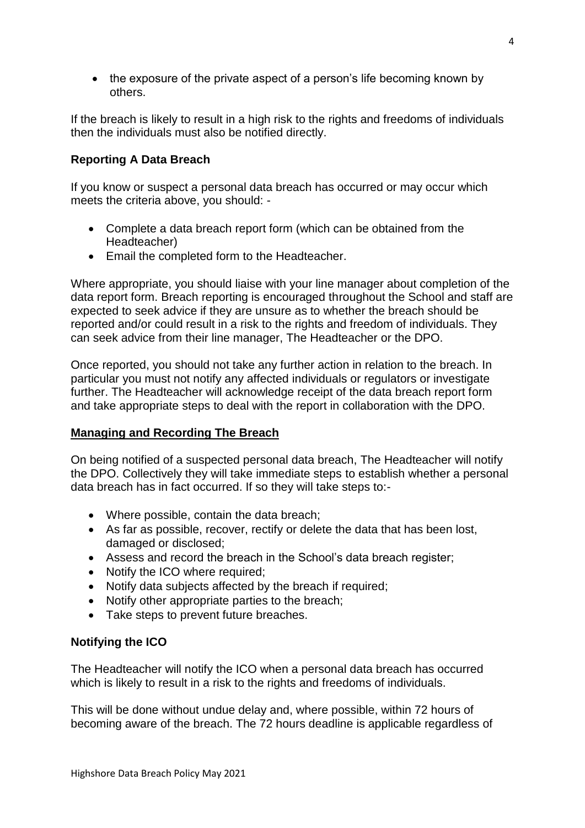• the exposure of the private aspect of a person's life becoming known by others.

If the breach is likely to result in a high risk to the rights and freedoms of individuals then the individuals must also be notified directly.

# **Reporting A Data Breach**

If you know or suspect a personal data breach has occurred or may occur which meets the criteria above, you should: -

- Complete a data breach report form (which can be obtained from the Headteacher)
- Email the completed form to the Headteacher.

Where appropriate, you should liaise with your line manager about completion of the data report form. Breach reporting is encouraged throughout the School and staff are expected to seek advice if they are unsure as to whether the breach should be reported and/or could result in a risk to the rights and freedom of individuals. They can seek advice from their line manager, The Headteacher or the DPO.

Once reported, you should not take any further action in relation to the breach. In particular you must not notify any affected individuals or regulators or investigate further. The Headteacher will acknowledge receipt of the data breach report form and take appropriate steps to deal with the report in collaboration with the DPO.

## **Managing and Recording The Breach**

On being notified of a suspected personal data breach, The Headteacher will notify the DPO. Collectively they will take immediate steps to establish whether a personal data breach has in fact occurred. If so they will take steps to:-

- Where possible, contain the data breach;
- As far as possible, recover, rectify or delete the data that has been lost, damaged or disclosed;
- Assess and record the breach in the School's data breach register;
- Notify the ICO where required;
- Notify data subjects affected by the breach if required;
- Notify other appropriate parties to the breach;
- Take steps to prevent future breaches.

# **Notifying the ICO**

The Headteacher will notify the ICO when a personal data breach has occurred which is likely to result in a risk to the rights and freedoms of individuals.

This will be done without undue delay and, where possible, within 72 hours of becoming aware of the breach. The 72 hours deadline is applicable regardless of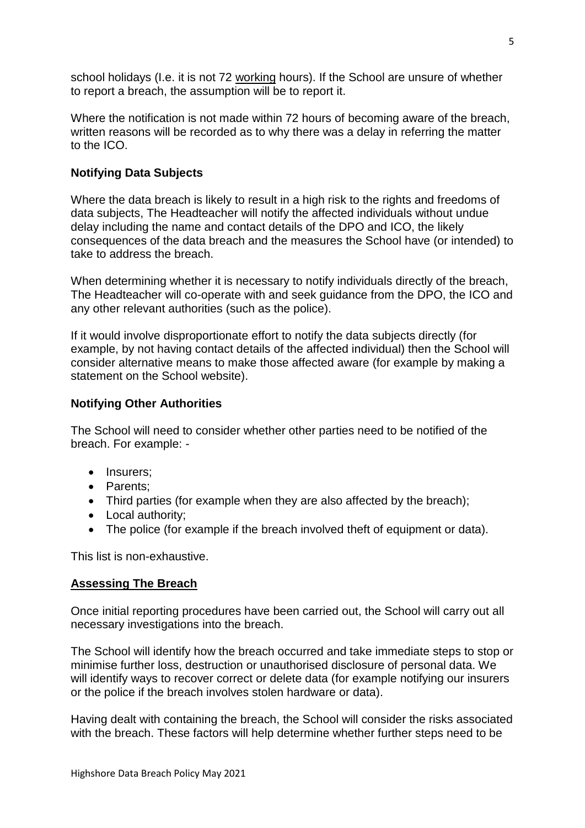school holidays (I.e. it is not 72 working hours). If the School are unsure of whether to report a breach, the assumption will be to report it.

Where the notification is not made within 72 hours of becoming aware of the breach, written reasons will be recorded as to why there was a delay in referring the matter to the ICO.

## **Notifying Data Subjects**

Where the data breach is likely to result in a high risk to the rights and freedoms of data subjects, The Headteacher will notify the affected individuals without undue delay including the name and contact details of the DPO and ICO, the likely consequences of the data breach and the measures the School have (or intended) to take to address the breach.

When determining whether it is necessary to notify individuals directly of the breach, The Headteacher will co-operate with and seek guidance from the DPO, the ICO and any other relevant authorities (such as the police).

If it would involve disproportionate effort to notify the data subjects directly (for example, by not having contact details of the affected individual) then the School will consider alternative means to make those affected aware (for example by making a statement on the School website).

## **Notifying Other Authorities**

The School will need to consider whether other parties need to be notified of the breach. For example: -

- Insurers:
- Parents:
- Third parties (for example when they are also affected by the breach);
- Local authority;
- The police (for example if the breach involved theft of equipment or data).

This list is non-exhaustive.

## **Assessing The Breach**

Once initial reporting procedures have been carried out, the School will carry out all necessary investigations into the breach.

The School will identify how the breach occurred and take immediate steps to stop or minimise further loss, destruction or unauthorised disclosure of personal data. We will identify ways to recover correct or delete data (for example notifying our insurers or the police if the breach involves stolen hardware or data).

Having dealt with containing the breach, the School will consider the risks associated with the breach. These factors will help determine whether further steps need to be

5